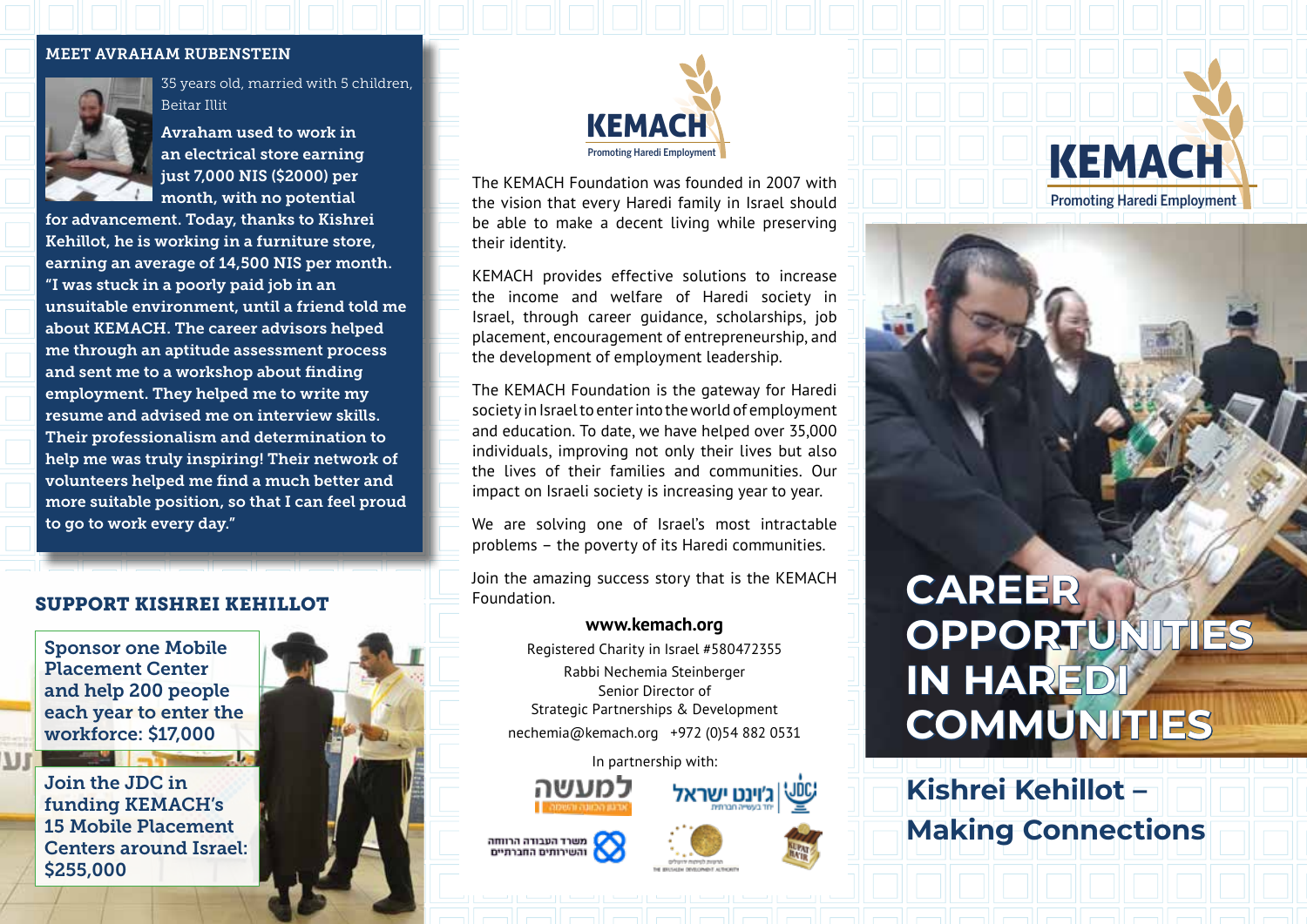#### MEET AVRAHAM RUBENSTEIN



35 years old, married with 5 children, Beitar Illit

Avraham used to work in an electrical store earning just 7,000 NIS (\$2000) per month, with no potential

for advancement. Today, thanks to Kishrei Kehillot, he is working in a furniture store, earning an average of 14,500 NIS per month. "I was stuck in a poorly paid job in an unsuitable environment, until a friend told me about KEMACH. The career advisors helped me through an aptitude assessment process and sent me to a workshop about finding employment. They helped me to write my resume and advised me on interview skills. Their professionalism and determination to help me was truly inspiring! Their network of volunteers helped me find a much better and more suitable position, so that I can feel proud to go to work every day."

#### SUPPORT KISHREI KEHILLOT

Sponsor one Mobile Placement Center and help 200 people each year to enter the workforce: \$17,000

Join the JDC in funding KEMACH's 15 Mobile Placement Centers around Israel: \$255,000





The KEMACH Foundation was founded in 2007 with the vision that every Haredi family in Israel should be able to make a decent living while preserving their identity.

KEMACH provides effective solutions to increase the income and welfare of Haredi society in Israel, through career guidance, scholarships, job placement, encouragement of entrepreneurship, and the development of employment leadership.

The KEMACH Foundation is the gateway for Haredi society in Israel to enter into the world of employment and education. To date, we have helped over 35,000 individuals, improving not only their lives but also the lives of their families and communities. Our impact on Israeli society is increasing year to year.

We are solving one of Israel's most intractable problems – the poverty of its Haredi communities.

Join the amazing success story that is the KEMACH Foundation.

#### **www.kemach.org**

Registered Charity in Israel #580472355 Rabbi Nechemia Steinberger Senior Director of Strategic Partnerships & Development nechemia@kemach.org +972 (0)54 882 0531

In partnership with:



משרד העבודה הרווחה<br>אוהשירותים החברתיים







# **CAREER OPPORTUNITIES IN HAREDI COMMUNITIES**

KEMACH

Promoting Haredi Employment

**Kishrei Kehillot – Making Connections**